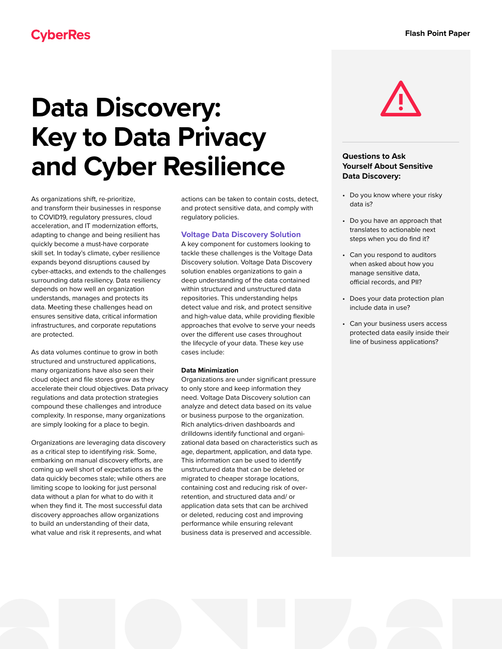# **Data Discovery: Key to Data Privacy and Cyber Resilience**

As organizations shift, re-prioritize, and transform their businesses in response to COVID19, regulatory pressures, cloud acceleration, and IT modernization efforts, adapting to change and being resilient has quickly become a must-have corporate skill set. In today's climate, cyber resilience expands beyond disruptions caused by cyber-attacks, and extends to the challenges surrounding data resiliency. Data resiliency depends on how well an organization understands, manages and protects its data. Meeting these challenges head on ensures sensitive data, critical information infrastructures, and corporate reputations are protected.

As data volumes continue to grow in both structured and unstructured applications, many organizations have also seen their cloud object and file stores grow as they accelerate their cloud objectives. Data privacy regulations and data protection strategies compound these challenges and introduce complexity. In response, many organizations are simply looking for a place to begin.

Organizations are leveraging data discovery as a critical step to identifying risk. Some, embarking on manual discovery efforts, are coming up well short of expectations as the data quickly becomes stale; while others are limiting scope to looking for just personal data without a plan for what to do with it when they find it. The most successful data discovery approaches allow organizations to build an understanding of their data, what value and risk it represents, and what

actions can be taken to contain costs, detect, and protect sensitive data, and comply with regulatory policies.

# **Voltage Data Discovery Solution**

A key component for customers looking to tackle these challenges is the Voltage Data Discovery solution. Voltage Data Discovery solution enables organizations to gain a deep understanding of the data contained within structured and unstructured data repositories. This understanding helps detect value and risk, and protect sensitive and high-value data, while providing flexible approaches that evolve to serve your needs over the different use cases throughout the lifecycle of your data. These key use cases include:

# **Data Minimization**

Organizations are under significant pressure to only store and keep information they need. Voltage Data Discovery solution can analyze and detect data based on its value or business purpose to the organization. Rich analytics-driven dashboards and drilldowns identify functional and organizational data based on characteristics such as age, department, application, and data type. This information can be used to identify unstructured data that can be deleted or migrated to cheaper storage locations, containing cost and reducing risk of overretention, and structured data and/ or application data sets that can be archived or deleted, reducing cost and improving performance while ensuring relevant business data is preserved and accessible.



# **Questions to Ask Yourself About Sensitive Data Discovery:**

- Do you know where your risky data is?
- Do you have an approach that translates to actionable next steps when you do find it?
- Can you respond to auditors when asked about how you manage sensitive data, official records, and PII?
- Does your data protection plan include data in use?
- Can your business users access protected data easily inside their line of business applications?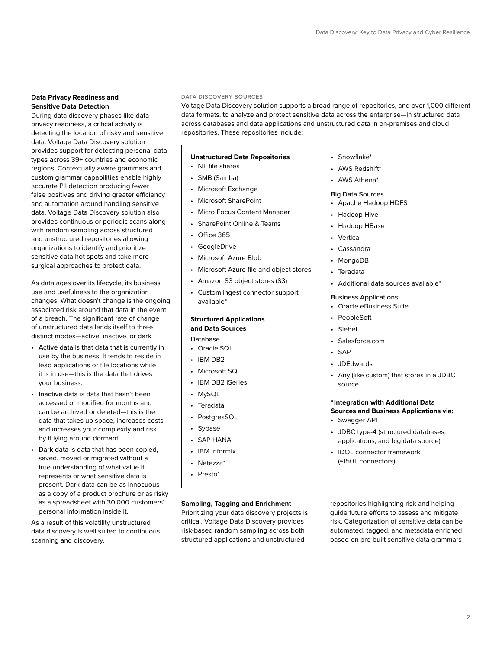## **Data Privacy Readiness and Sensitive Data Detection**

During data discovery phases like data privacy readiness, a critical activity is detecting the location of risky and sensitive data. Voltage Data Discovery solution provides support for detecting personal data types across 39+ countries and economic regions. Contextually aware grammars and custom grammar capabilities enable highly accurate PII detection producing fewer false positives and driving greater efficiency and automation around handling sensitive data. Voltage Data Discovery solution also provides continuous or periodic scans along with random sampling across structured and unstructured repositories allowing organizations to identify and prioritize sensitive data hot spots and take more surgical approaches to protect data.

As data ages over its lifecycle, its business use and usefulness to the organization changes. What doesn't change is the ongoing associated risk around that data in the event of a breach. The significant rate of change of unstructured data lends itself to three distinct modes—active, inactive, or dark.

- Active data is that data that is currently in use by the business. It tends to reside in lead applications or file locations while it is in use—this is the data that drives your business.
- Inactive data is data that hasn't been accessed or modified for months and can be archived or deleted—this is the data that takes up space, increases costs and increases your complexity and risk by it lying around dormant.
- Dark data is data that has been copied, saved, moved or migrated without a true understanding of what value it represents or what sensitive data is present. Dark data can be as innocuous as a copy of a product brochure or as risky as a spreadsheet with 30,000 customers' personal information inside it.

As a result of this volatility unstructured data discovery is well suited to continuous scanning and discovery.

## DATA DISCOVERY SOURCES

Voltage Data Discovery solution supports a broad range of repositories, and over 1,000 different data formats, to analyze and protect sensitive data across the enterprise—in structured data across databases and data applications and unstructured data in on-premises and cloud repositories. These repositories include:

## **Unstructured Data Repositories**

- NT file shares
- SMB (Samba)
- Microsoft Exchange
- Microsoft SharePoint
- Micro Focus Content Manager
- SharePoint Online & Teams
- Office 365
- GoogleDrive
- Microsoft Azure Blob
- Microsoft Azure file and object stores
- Amazon S3 object stores (S3)
- Custom ingest connector support available\*

# **Structured Applications and Data Sources**

# Database

- Oracle SQL
- IBM DB2
- Microsoft SQL
- IBM DB2 iSeries
- MySQL
- Teradata
- PostgresSQL
- Sybase
- SAP HANA
- IBM Informix
- Netezza\*
- Presto\*

## **Sampling, Tagging and Enrichment**

Prioritizing your data discovery projects is critical. Voltage Data Discovery provides risk-based random sampling across both structured applications and unstructured

- Snowflake\*
- AWS Redshift\*
- AWS Athena\*

#### Big Data Sources

- Apache Hadoop HDFS
- Hadoop Hive
- Hadoop HBase
- Vertica
- Cassandra
- MongoDB
- **Teradata**
- Additional data sources available\*

#### Business Applications

- Oracle eBusiness Suite
- PeopleSoft
- **Siebel**
- Salesforce.com
- SAP
- JDEdwards
- Any (like custom) that stores in a JDBC source

# **\*Integration with Additional Data Sources and Business Applications via:**

- Swagger API
- JDBC type-4 (structured databases, applications, and big data source)
- IDOL connector framework (~150+ connectors)

repositories highlighting risk and helping guide future efforts to assess and mitigate risk. Categorization of sensitive data can be automated, tagged, and metadata enriched based on pre-built sensitive data grammars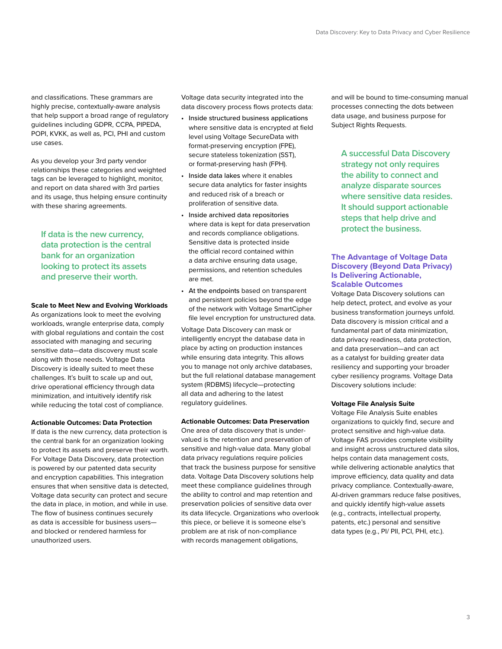and classifications. These grammars are highly precise, contextually-aware analysis that help support a broad range of regulatory guidelines including GDPR, CCPA, PIPEDA, POPI, KVKK, as well as, PCI, PHI and custom use cases.

As you develop your 3rd party vendor relationships these categories and weighted tags can be leveraged to highlight, monitor, and report on data shared with 3rd parties and its usage, thus helping ensure continuity with these sharing agreements.

**If data is the new currency, data protection is the central bank for an organization looking to protect its assets and preserve their worth.**

## **Scale to Meet New and Evolving Workloads**

As organizations look to meet the evolving workloads, wrangle enterprise data, comply with global regulations and contain the cost associated with managing and securing sensitive data—data discovery must scale along with those needs. Voltage Data Discovery is ideally suited to meet these challenges. It's built to scale up and out, drive operational efficiency through data minimization, and intuitively identify risk while reducing the total cost of compliance.

#### **Actionable Outcomes: Data Protection**

If data is the new currency, data protection is the central bank for an organization looking to protect its assets and preserve their worth. For Voltage Data Discovery, data protection is powered by our patented data security and encryption capabilities. This integration ensures that when sensitive data is detected, Voltage data security can protect and secure the data in place, in motion, and while in use. The flow of business continues securely as data is accessible for business users and blocked or rendered harmless for unauthorized users.

Voltage data security integrated into the data discovery process flows protects data:

- Inside structured business applications where sensitive data is encrypted at field level using Voltage SecureData with format-preserving encryption (FPE), secure stateless tokenization (SST), or format-preserving hash (FPH).
- Inside data lakes where it enables secure data analytics for faster insights and reduced risk of a breach or proliferation of sensitive data.
- Inside archived data repositories where data is kept for data preservation and records compliance obligations. Sensitive data is protected inside the official record contained within a data archive ensuring data usage, permissions, and retention schedules are met.
- At the endpoints based on transparent and persistent policies beyond the edge of the network with Voltage SmartCipher file level encryption for unstructured data.

Voltage Data Discovery can mask or intelligently encrypt the database data in place by acting on production instances while ensuring data integrity. This allows you to manage not only archive databases, but the full relational database management system (RDBMS) lifecycle—protecting all data and adhering to the latest regulatory guidelines.

### **Actionable Outcomes: Data Preservation**

One area of data discovery that is undervalued is the retention and preservation of sensitive and high-value data. Many global data privacy regulations require policies that track the business purpose for sensitive data. Voltage Data Discovery solutions help meet these compliance guidelines through the ability to control and map retention and preservation policies of sensitive data over its data lifecycle. Organizations who overlook this piece, or believe it is someone else's problem are at risk of non-compliance with records management obligations,

and will be bound to time-consuming manual processes connecting the dots between data usage, and business purpose for Subject Rights Requests.

**A successful Data Discovery strategy not only requires the ability to connect and analyze disparate sources where sensitive data resides. It should support actionable steps that help drive and protect the business.** 

# **The Advantage of Voltage Data Discovery (Beyond Data Privacy) Is Delivering Actionable, Scalable Outcomes**

Voltage Data Discovery solutions can help detect, protect, and evolve as your business transformation journeys unfold. Data discovery is mission critical and a fundamental part of data minimization, data privacy readiness, data protection, and data preservation—and can act as a catalyst for building greater data resiliency and supporting your broader cyber resiliency programs. Voltage Data Discovery solutions include:

#### **Voltage File Analysis Suite**

Voltage File Analysis Suite enables organizations to quickly find, secure and protect sensitive and high-value data. Voltage FAS provides complete visibility and insight across unstructured data silos, helps contain data management costs, while delivering actionable analytics that improve efficiency, data quality and data privacy compliance. Contextually-aware, AI-driven grammars reduce false positives, and quickly identify high-value assets (e.g., contracts, intellectual property, patents, etc.) personal and sensitive data types (e.g., PI/ PII, PCI, PHI, etc.).